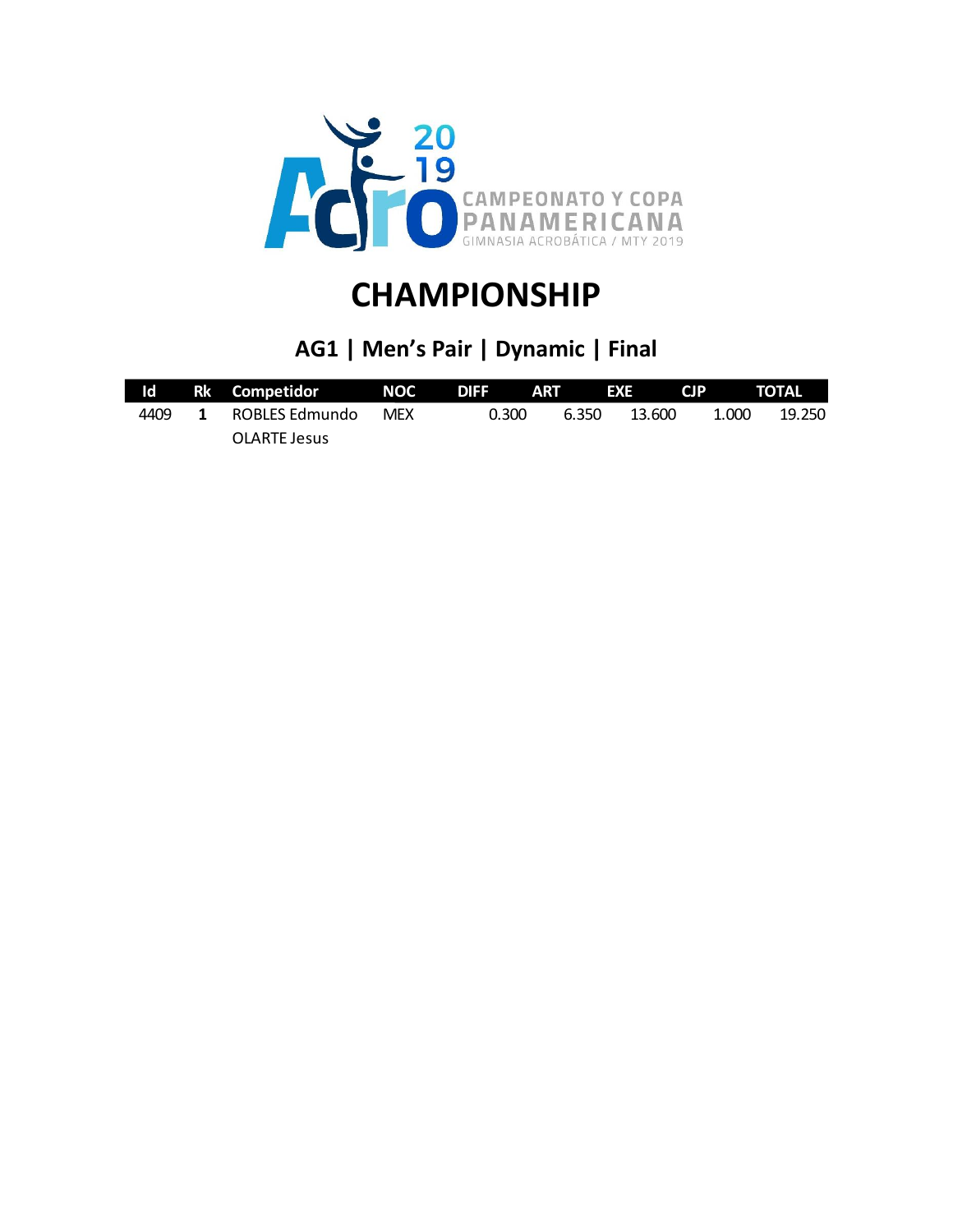

### **AG1 | Men's Pair | Dynamic | Final**

|      |              | ld Rk Competidor NOC DIFF ART EXE CJP TOTAL |            |       |       |        |       |        |
|------|--------------|---------------------------------------------|------------|-------|-------|--------|-------|--------|
| 4409 | $\mathbf{1}$ | ROBLES Edmundo                              | <b>MEX</b> | 0.300 | 6.350 | 13.600 | 1.000 | 19.250 |
|      |              | OLARTE Jesus                                |            |       |       |        |       |        |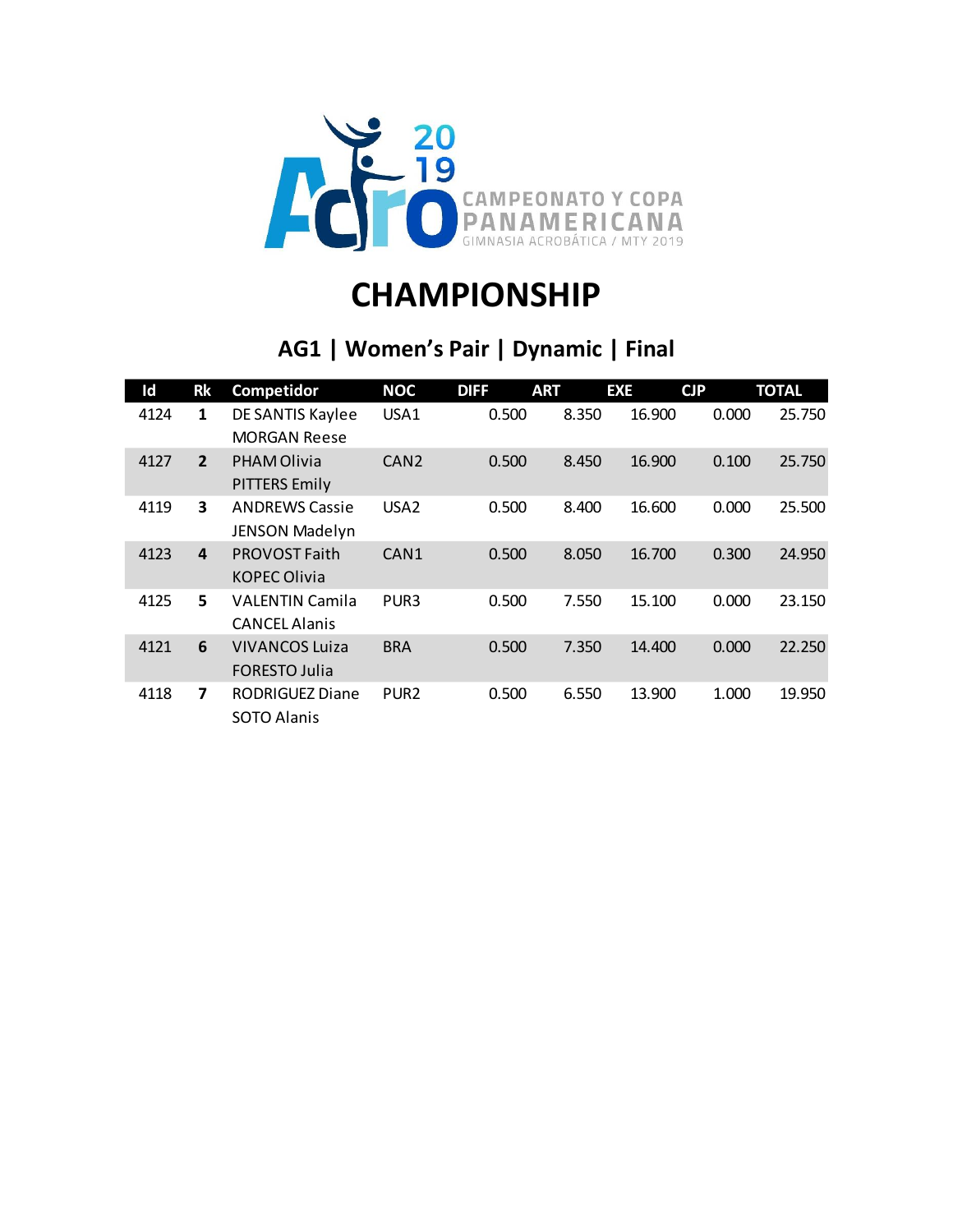

### **AG1 | Women's Pair | Dynamic | Final**

| Id   | <b>Rk</b>      | Competidor                                     | <b>NOC</b>       | <b>DIFF</b> | <b>ART</b> | <b>EXE</b> | CJP   | <b>TOTAL</b> |
|------|----------------|------------------------------------------------|------------------|-------------|------------|------------|-------|--------------|
| 4124 | 1              | DE SANTIS Kaylee<br><b>MORGAN Reese</b>        | USA1             | 0.500       | 8.350      | 16.900     | 0.000 | 25.750       |
| 4127 | $\overline{2}$ | <b>PHAM Olivia</b><br><b>PITTERS Emily</b>     | CAN <sub>2</sub> | 0.500       | 8.450      | 16.900     | 0.100 | 25.750       |
| 4119 | 3              | <b>ANDREWS Cassie</b><br><b>JENSON Madelyn</b> | USA <sub>2</sub> | 0.500       | 8.400      | 16.600     | 0.000 | 25.500       |
| 4123 | 4              | <b>PROVOST Faith</b><br><b>KOPEC Olivia</b>    | CAN <sub>1</sub> | 0.500       | 8.050      | 16.700     | 0.300 | 24.950       |
| 4125 | 5              | <b>VALENTIN Camila</b><br><b>CANCEL Alanis</b> | PUR <sub>3</sub> | 0.500       | 7.550      | 15.100     | 0.000 | 23.150       |
| 4121 | 6              | <b>VIVANCOS Luiza</b><br><b>FORESTO Julia</b>  | <b>BRA</b>       | 0.500       | 7.350      | 14.400     | 0.000 | 22.250       |
| 4118 | 7              | <b>RODRIGUEZ Diane</b><br>SOTO Alanis          | PUR <sub>2</sub> | 0.500       | 6.550      | 13.900     | 1.000 | 19.950       |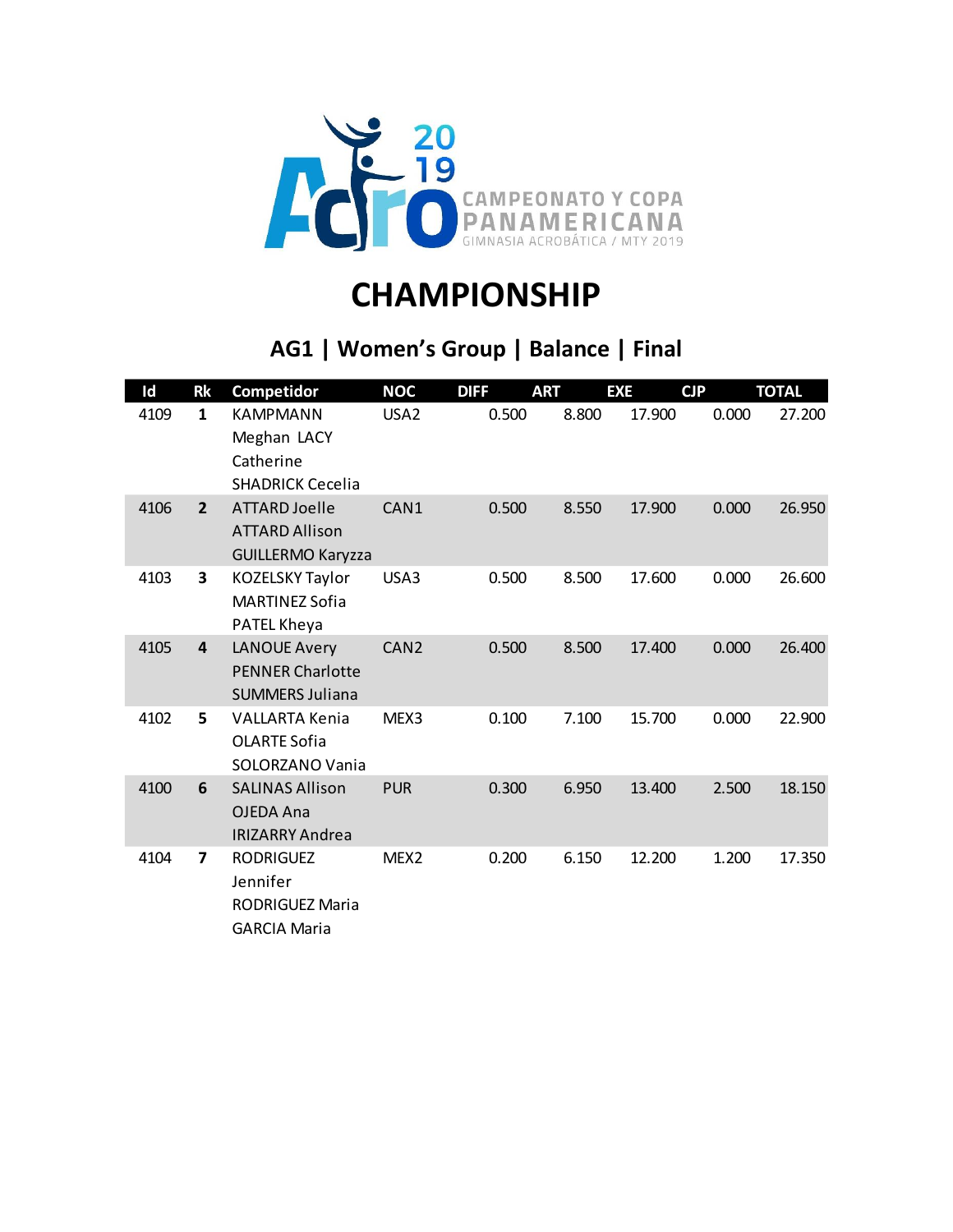

### **AG1 | Women's Group | Balance | Final**

| Id   | <b>Rk</b>               | Competidor                                                               | <b>NOC</b>       | <b>DIFF</b> | <b>ART</b> | <b>EXE</b> | <b>CJP</b> | <b>TOTAL</b> |
|------|-------------------------|--------------------------------------------------------------------------|------------------|-------------|------------|------------|------------|--------------|
| 4109 | $\mathbf{1}$            | <b>KAMPMANN</b><br>Meghan LACY<br>Catherine<br><b>SHADRICK Cecelia</b>   | USA <sub>2</sub> | 0.500       | 8.800      | 17.900     | 0.000      | 27.200       |
| 4106 | $\overline{2}$          | ATTARD Joelle<br><b>ATTARD Allison</b><br><b>GUILLERMO Karyzza</b>       | CAN1             | 0.500       | 8.550      | 17.900     | 0.000      | 26.950       |
| 4103 | 3                       | <b>KOZELSKY Taylor</b><br><b>MARTINEZ Sofia</b><br>PATEL Kheya           | USA3             | 0.500       | 8.500      | 17.600     | 0.000      | 26.600       |
| 4105 | $\overline{\mathbf{4}}$ | <b>LANOUE Avery</b><br><b>PENNER Charlotte</b><br><b>SUMMERS Juliana</b> | CAN <sub>2</sub> | 0.500       | 8.500      | 17.400     | 0.000      | 26.400       |
| 4102 | 5                       | <b>VALLARTA Kenia</b><br><b>OLARTE Sofia</b><br>SOLORZANO Vania          | MEX3             | 0.100       | 7.100      | 15.700     | 0.000      | 22.900       |
| 4100 | 6                       | <b>SALINAS Allison</b><br>OJEDA Ana<br><b>IRIZARRY Andrea</b>            | <b>PUR</b>       | 0.300       | 6.950      | 13.400     | 2.500      | 18.150       |
| 4104 | 7                       | <b>RODRIGUEZ</b><br>Jennifer<br>RODRIGUEZ Maria<br><b>GARCIA Maria</b>   | MEX <sub>2</sub> | 0.200       | 6.150      | 12.200     | 1.200      | 17.350       |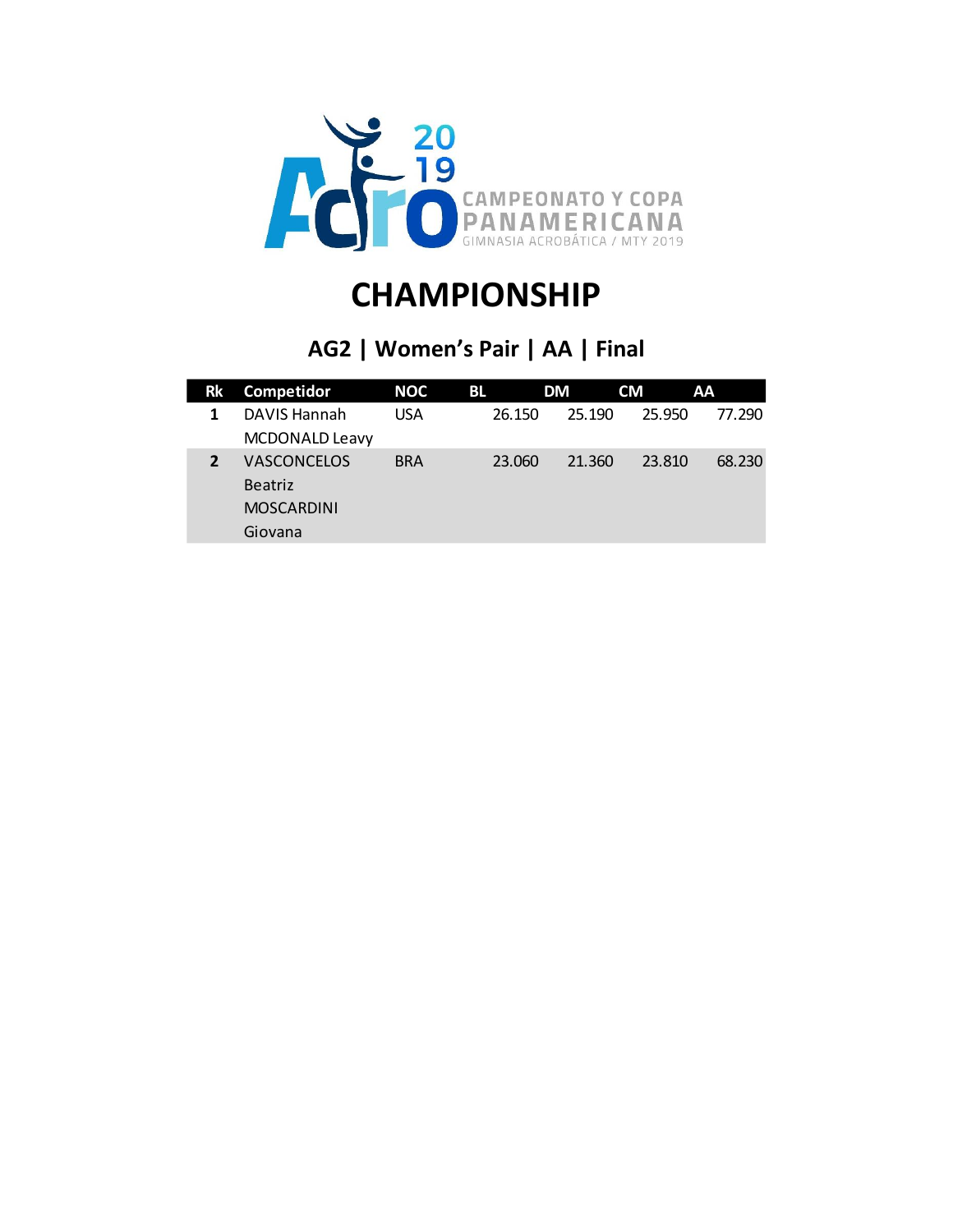

### **AG2 | Women's Pair | AA | Final**

| <b>Rk</b> | Competidor            | <b>NOC</b> | BL     | DM     | CM     | AA     |
|-----------|-----------------------|------------|--------|--------|--------|--------|
|           | DAVIS Hannah          | <b>USA</b> | 26.150 | 25.190 | 25.950 | 77.290 |
|           | <b>MCDONALD Leavy</b> |            |        |        |        |        |
|           | <b>VASCONCELOS</b>    | <b>BRA</b> | 23.060 | 21.360 | 23.810 | 68.230 |
|           | <b>Beatriz</b>        |            |        |        |        |        |
|           | <b>MOSCARDINI</b>     |            |        |        |        |        |
|           | Giovana               |            |        |        |        |        |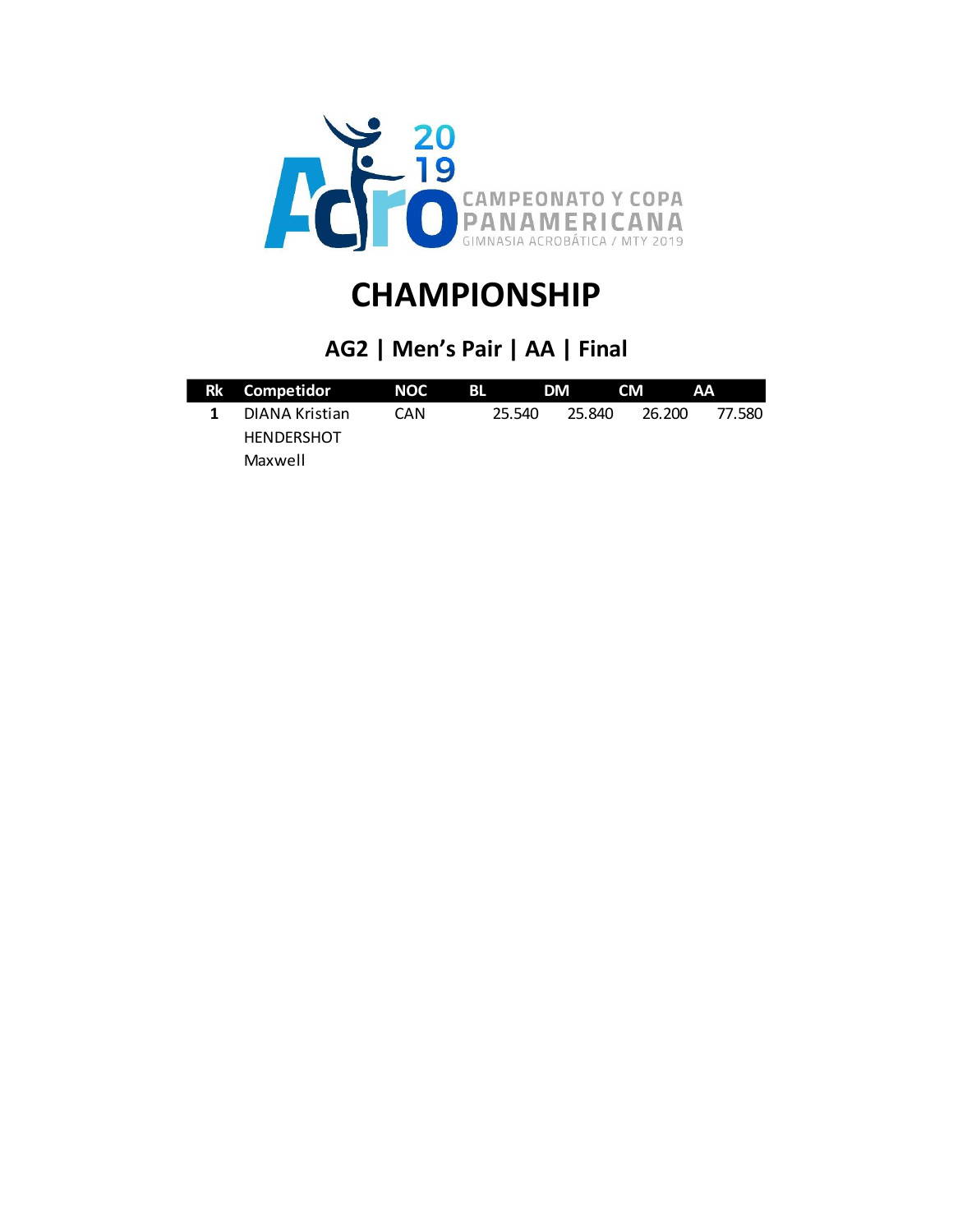

### **AG2 | Men's Pair | AA | Final**

| Rk Competidor     | NOC | BL - | <b>DM</b> | <b>CM</b> | .AA              |
|-------------------|-----|------|-----------|-----------|------------------|
| DIANA Kristian    | CAN |      | 25.540    | 25.840    | 77.580<br>26.200 |
| <b>HENDERSHOT</b> |     |      |           |           |                  |
| Maxwell           |     |      |           |           |                  |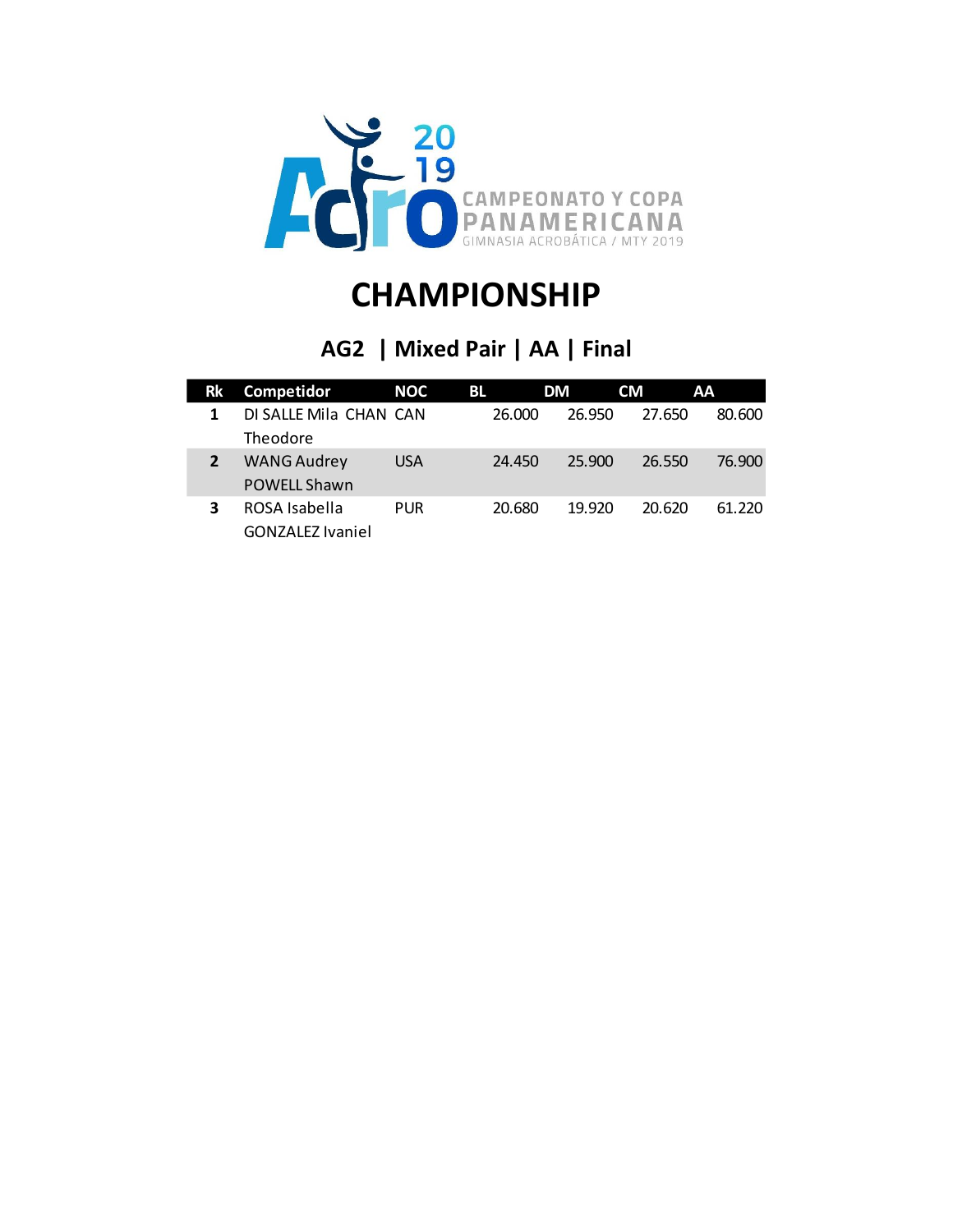

### **AG2 | Mixed Pair | AA | Final**

| <b>Rk</b> | Competidor              | NOC        | BL.    | DM     | <b>CM</b> | AA     |
|-----------|-------------------------|------------|--------|--------|-----------|--------|
| 1         | DI SALLE Mila CHAN CAN  |            | 26.000 | 26.950 | 27.650    | 80,600 |
|           | Theodore                |            |        |        |           |        |
|           | <b>WANG Audrey</b>      | <b>USA</b> | 24.450 | 25,900 | 26.550    | 76.900 |
|           | <b>POWELL Shawn</b>     |            |        |        |           |        |
| 3         | ROSA Isabella           | <b>PUR</b> | 20.680 | 19.920 | 20.620    | 61.220 |
|           | <b>GONZALEZ Ivaniel</b> |            |        |        |           |        |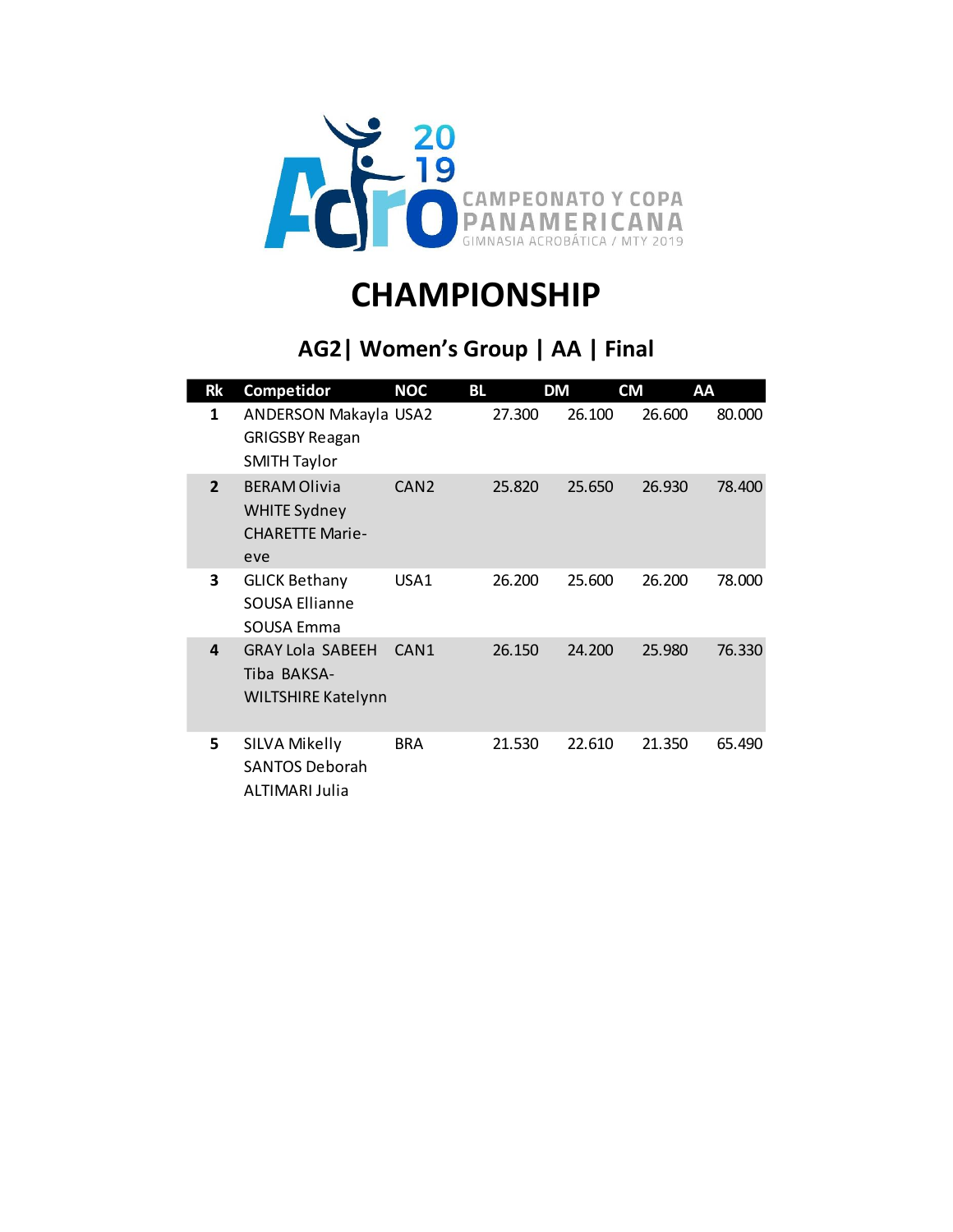

### **AG2| Women's Group | AA | Final**

| <b>Rk</b>      | Competidor                                                                  | <b>NOC</b><br>BL |        | <b>DM</b> | <b>CM</b> | AA     |
|----------------|-----------------------------------------------------------------------------|------------------|--------|-----------|-----------|--------|
| 1              | ANDERSON Makayla USA2<br><b>GRIGSBY Reagan</b><br><b>SMITH Taylor</b>       |                  | 27.300 | 26.100    | 26.600    | 80.000 |
| $\overline{2}$ | <b>BERAM Olivia</b><br><b>WHITE Sydney</b><br><b>CHARETTE Marie-</b><br>eve | CAN <sub>2</sub> | 25.820 | 25.650    | 26.930    | 78.400 |
| 3              | <b>GLICK Bethany</b><br><b>SOUSA Ellianne</b><br>SOUSA Emma                 | USA1             | 26.200 | 25.600    | 26.200    | 78.000 |
| 4              | <b>GRAY Lola SABEEH</b><br>Tiba BAKSA-<br><b>WILTSHIRE Katelynn</b>         | CAN <sub>1</sub> | 26.150 | 24.200    | 25.980    | 76.330 |
| 5              | SILVA Mikelly<br><b>SANTOS Deborah</b><br>ALTIMARI Julia                    | <b>BRA</b>       | 21.530 | 22.610    | 21.350    | 65.490 |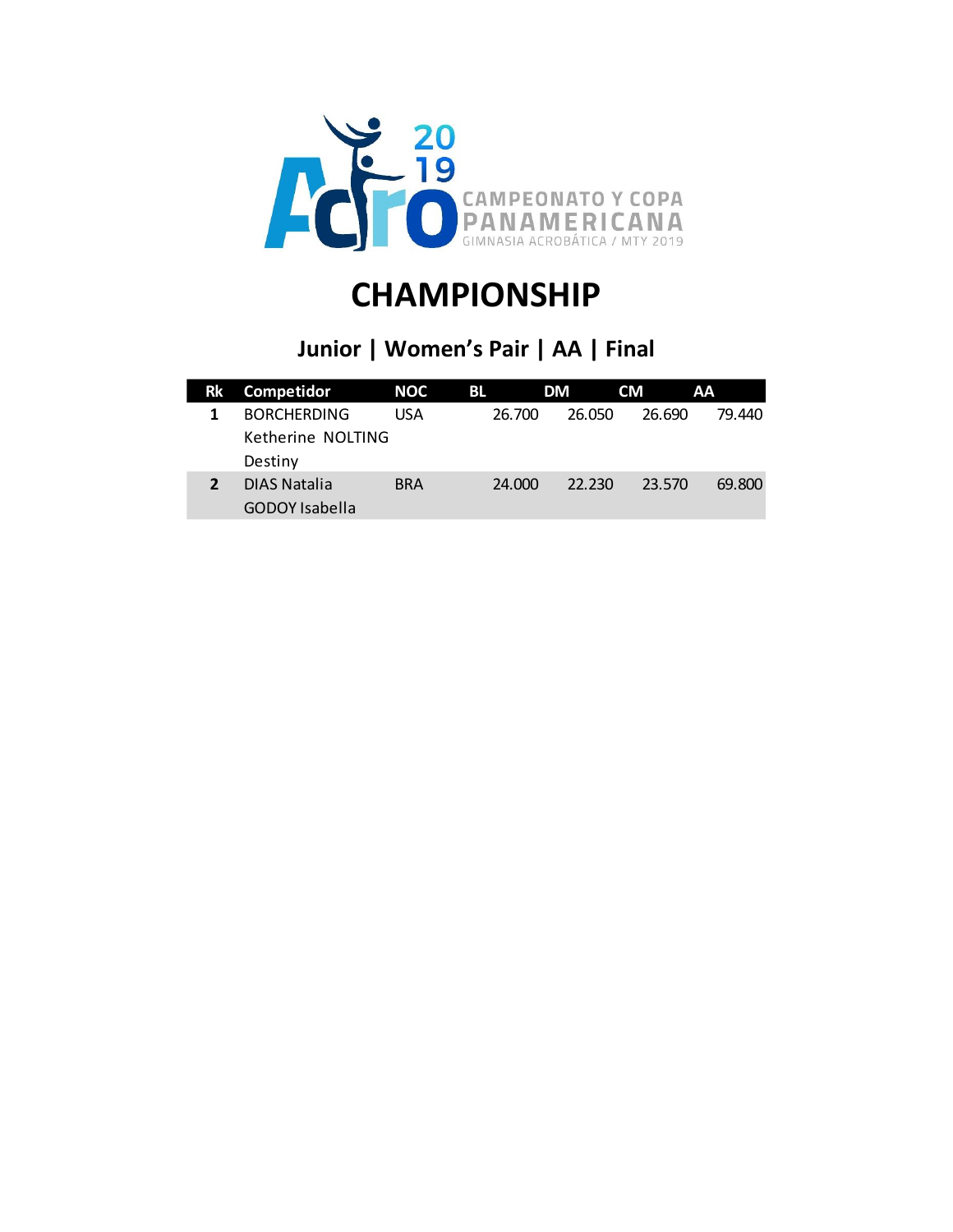

### **Junior | Women's Pair | AA | Final**

| Rk | Competidor            | NOC        | BL.    | DM     | <b>CM</b> | AA     |
|----|-----------------------|------------|--------|--------|-----------|--------|
|    | <b>BORCHERDING</b>    | USA        | 26.700 | 26.050 | 26.690    | 79.440 |
|    | Ketherine NOLTING     |            |        |        |           |        |
|    | Destiny               |            |        |        |           |        |
|    | DIAS Natalia          | <b>BRA</b> | 24,000 | 22.230 | 23.570    | 69.800 |
|    | <b>GODOY</b> Isabella |            |        |        |           |        |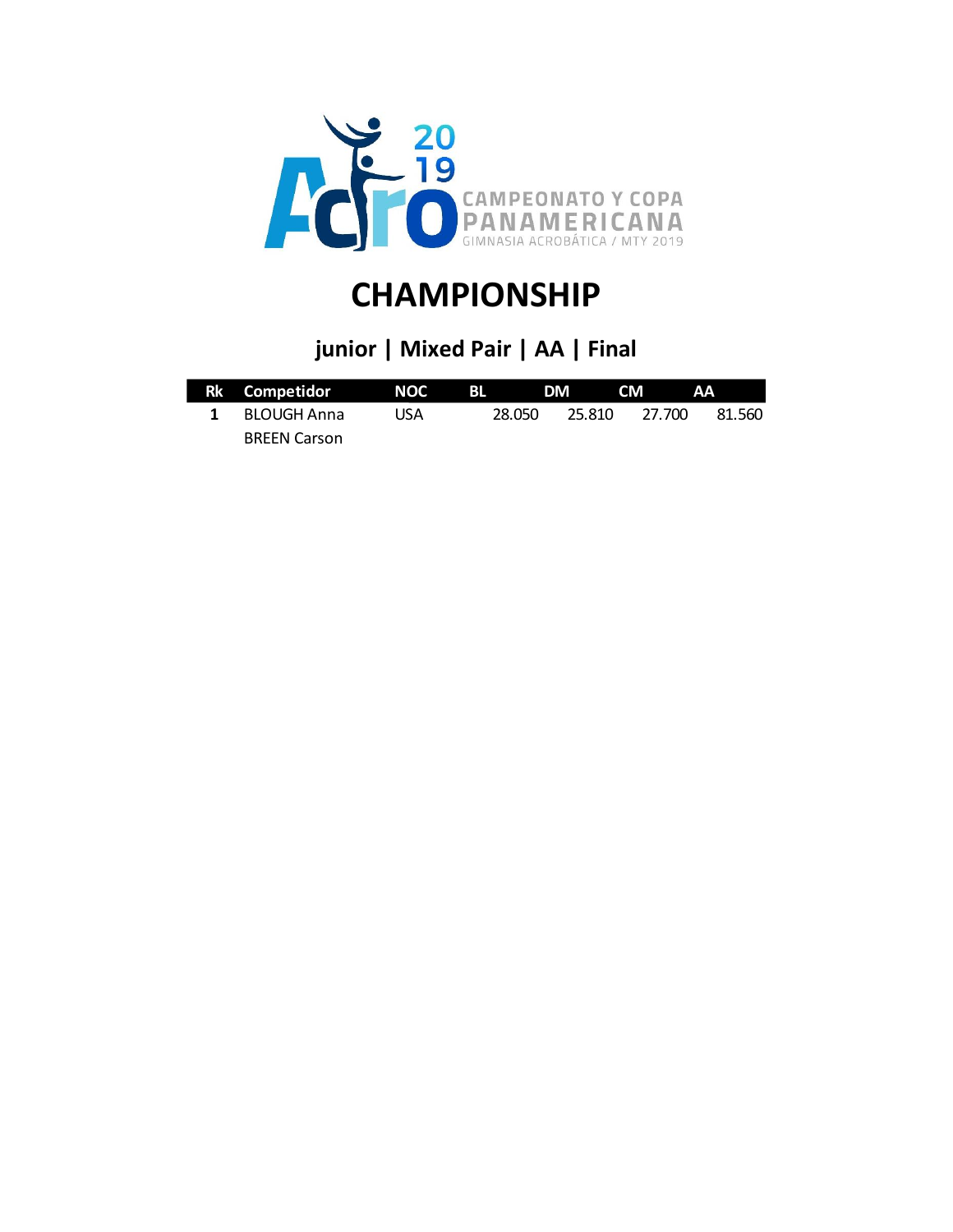

### **junior | Mixed Pair | AA | Final**

| Rk Competidor NOC   |     |        | BL DM CM |        | AA     |
|---------------------|-----|--------|----------|--------|--------|
| 1 BLOUGH Anna       | USA | 28.050 | 25.810   | 27.700 | 81.560 |
| <b>BREEN Carson</b> |     |        |          |        |        |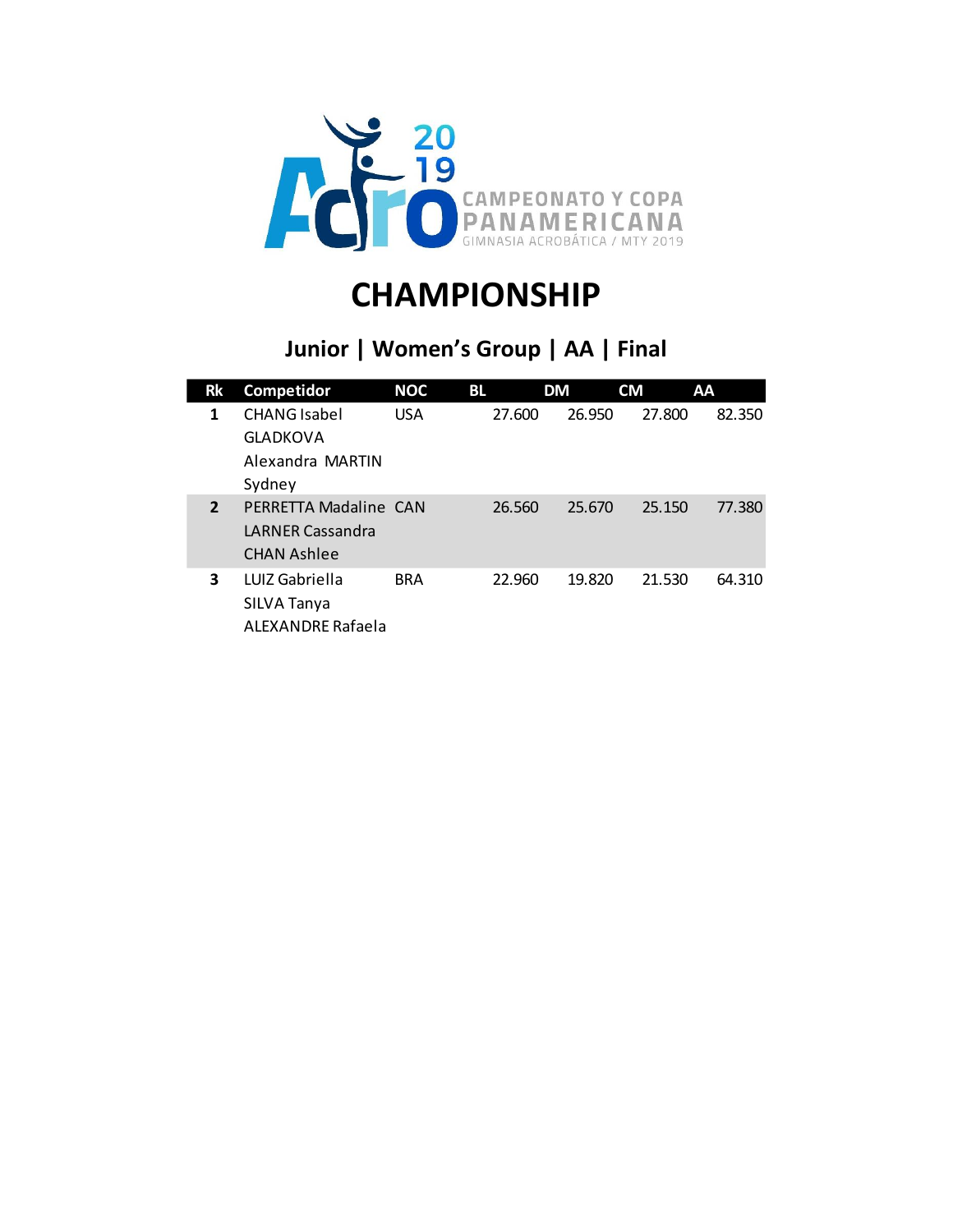

### **Junior | Women's Group | AA | Final**

| Rk             | Competidor                                                             | <b>NOC</b> | <b>BL</b> | DM     | <b>CM</b> | AA     |
|----------------|------------------------------------------------------------------------|------------|-----------|--------|-----------|--------|
| 1              | <b>CHANG</b> Isabel<br><b>GLADKOVA</b>                                 | <b>USA</b> | 27.600    | 26.950 | 27.800    | 82.350 |
|                | Alexandra MARTIN<br>Sydney                                             |            |           |        |           |        |
| $\overline{2}$ | PERRETTA Madaline CAN<br><b>LARNER Cassandra</b><br><b>CHAN Ashlee</b> |            | 26.560    | 25.670 | 25.150    | 77.380 |
| 3              | LUIZ Gabriella<br>SILVA Tanya<br>ALEXANDRE Rafaela                     | <b>BRA</b> | 22.960    | 19.820 | 21.530    | 64.310 |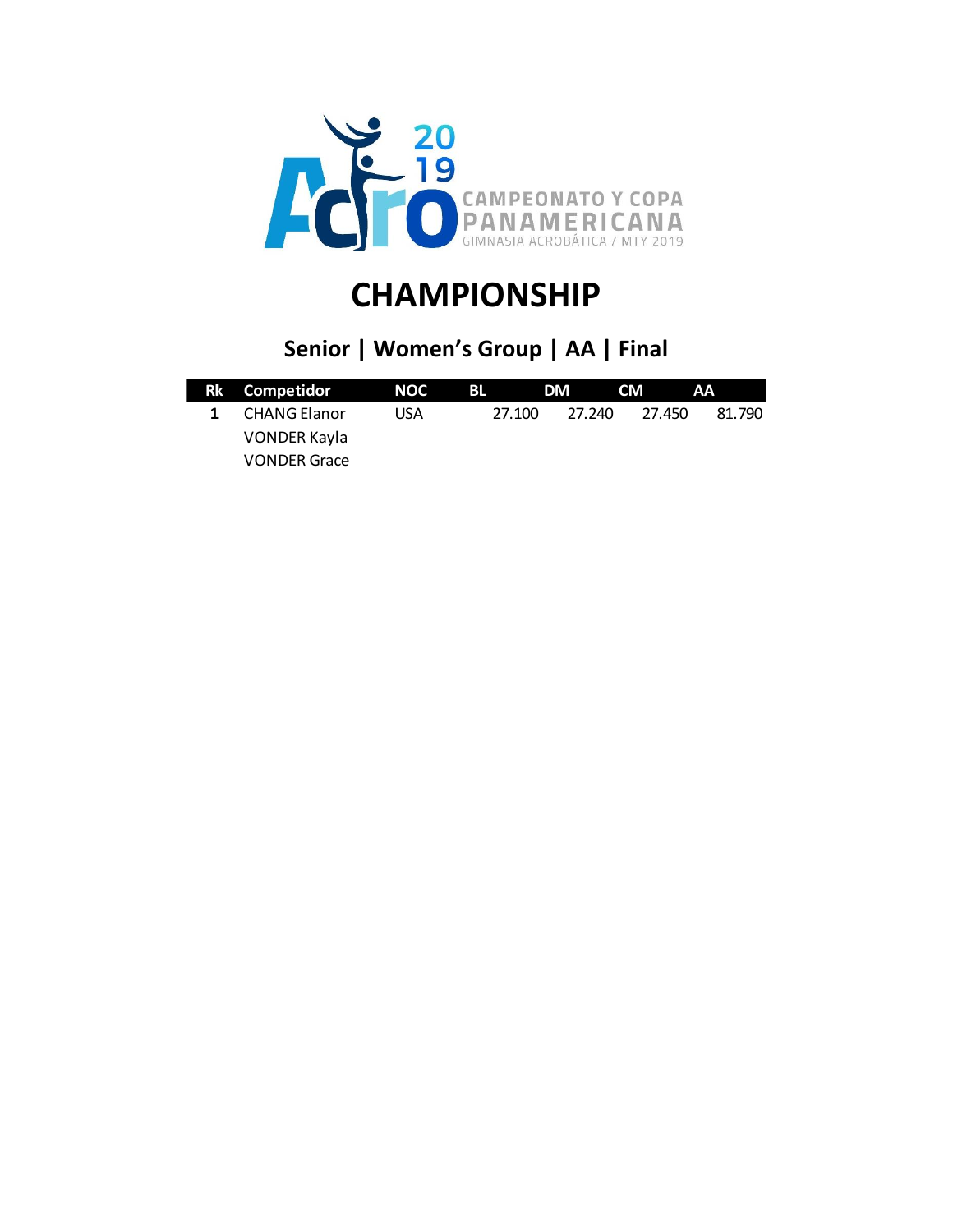

### **Senior | Women's Group | AA | Final**

| Rk Competidor       | NOC | BL. | <b>DM</b>        | CM -   | - AA   |
|---------------------|-----|-----|------------------|--------|--------|
| 1 CHANG Elanor      | USA |     | 27.240<br>27.100 | 27.450 | 81.790 |
| VONDER Kayla        |     |     |                  |        |        |
| <b>VONDER Grace</b> |     |     |                  |        |        |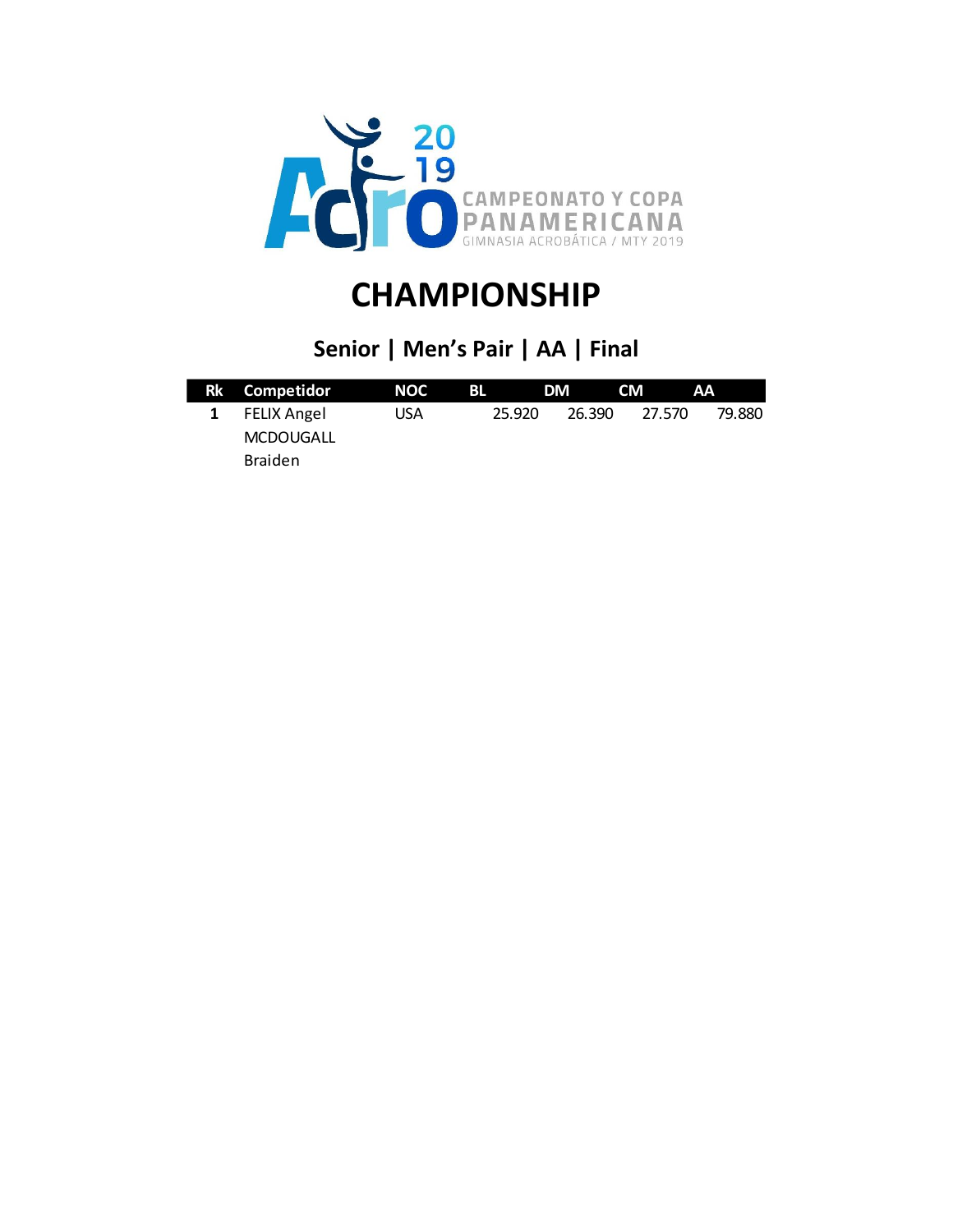

### **Senior | Men's Pair | AA | Final**

| Rk Competidor    | NOC | BL | DM               | <b>CM</b> | AA               |  |
|------------------|-----|----|------------------|-----------|------------------|--|
| 1 FELIX Angel    | USA |    | 26.390<br>25.920 |           | 27.570<br>79.880 |  |
| <b>MCDOUGALL</b> |     |    |                  |           |                  |  |
| <b>Braiden</b>   |     |    |                  |           |                  |  |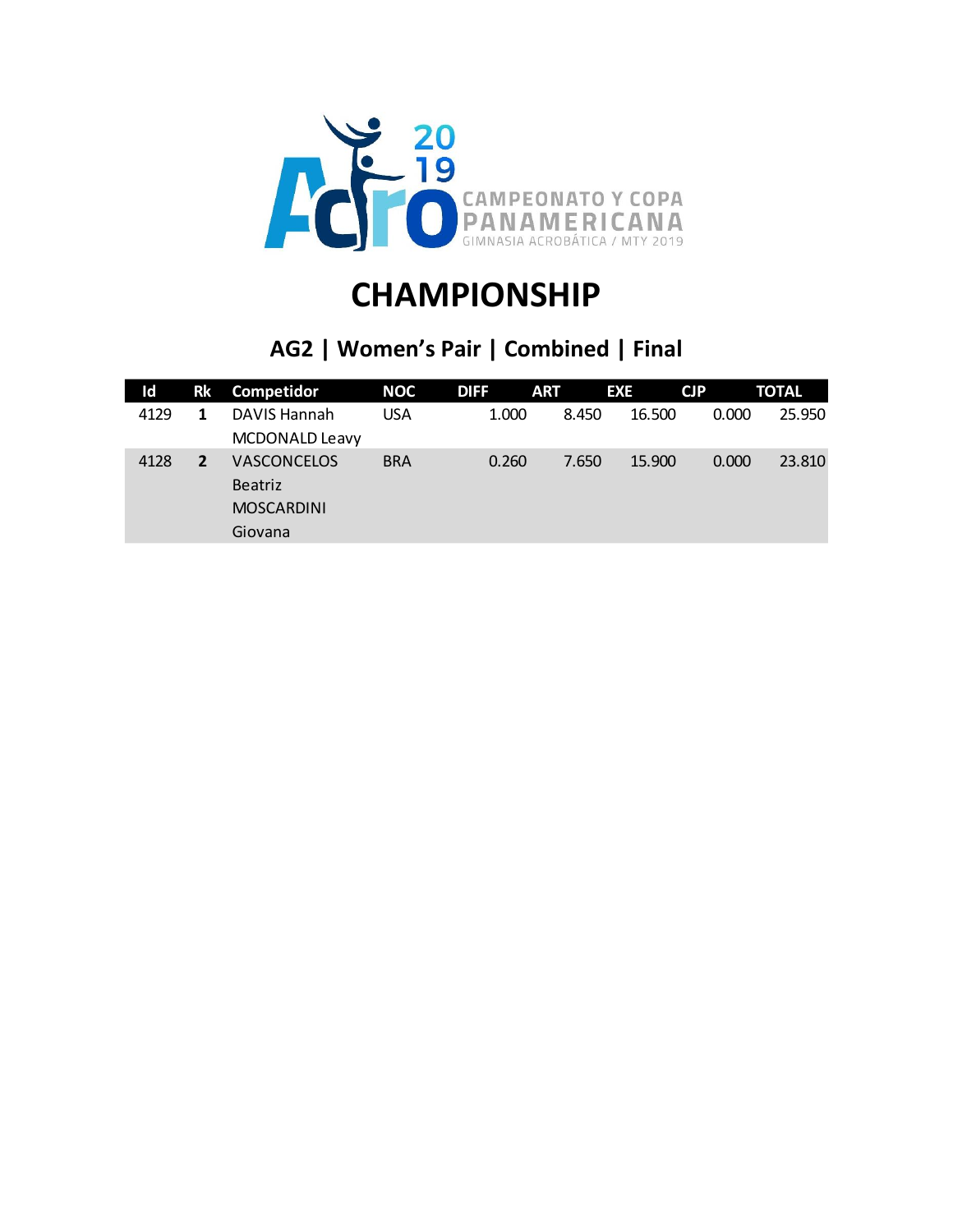

### **AG2 | Women's Pair | Combined | Final**

| Id   | <b>Rk</b> | Competidor                                                           | <b>NOC</b> | <b>DIFF</b> | <b>ART</b> | <b>EXE</b> | CJP   | <b>TOTAL</b> |
|------|-----------|----------------------------------------------------------------------|------------|-------------|------------|------------|-------|--------------|
| 4129 |           | DAVIS Hannah<br><b>MCDONALD Leavy</b>                                | <b>USA</b> | 1.000       | 8.450      | 16.500     | 0.000 | 25.950       |
| 4128 | 2         | <b>VASCONCELOS</b><br><b>Beatriz</b><br><b>MOSCARDINI</b><br>Giovana | <b>BRA</b> | 0.260       | 7.650      | 15.900     | 0.000 | 23.810       |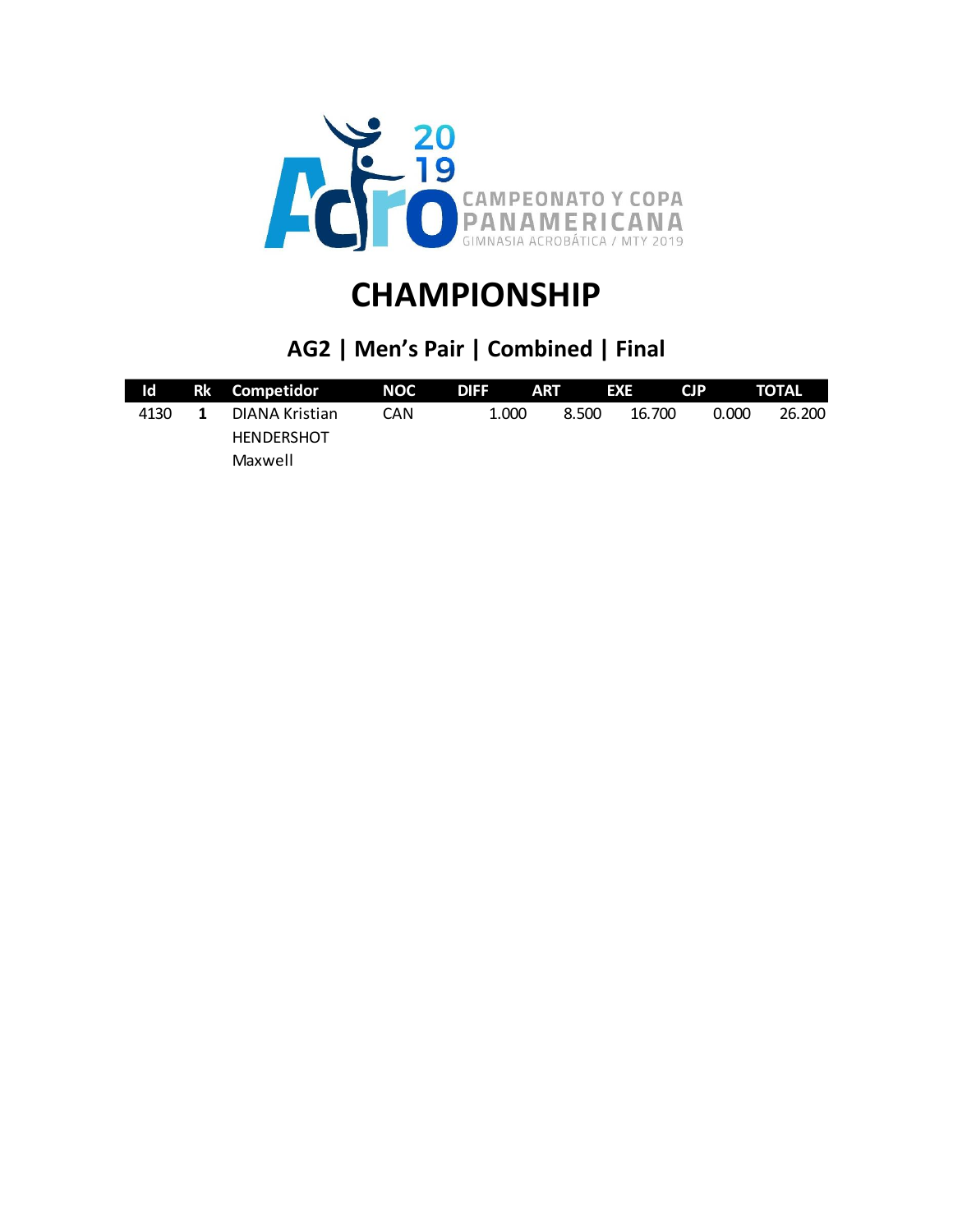

### **AG2 | Men's Pair | Combined | Final**

| Id   | Rk Competidor     | <b>NOC</b> | <b>DIFF</b> | ART   | EXE    | <b>CIP</b> | <b>TOTAL</b> |
|------|-------------------|------------|-------------|-------|--------|------------|--------------|
| 4130 | DIANA Kristian    | CAN        | 1.000       | 8.500 | 16.700 | 0.000      | 26,200       |
|      | <b>HENDERSHOT</b> |            |             |       |        |            |              |
|      | Maxwell           |            |             |       |        |            |              |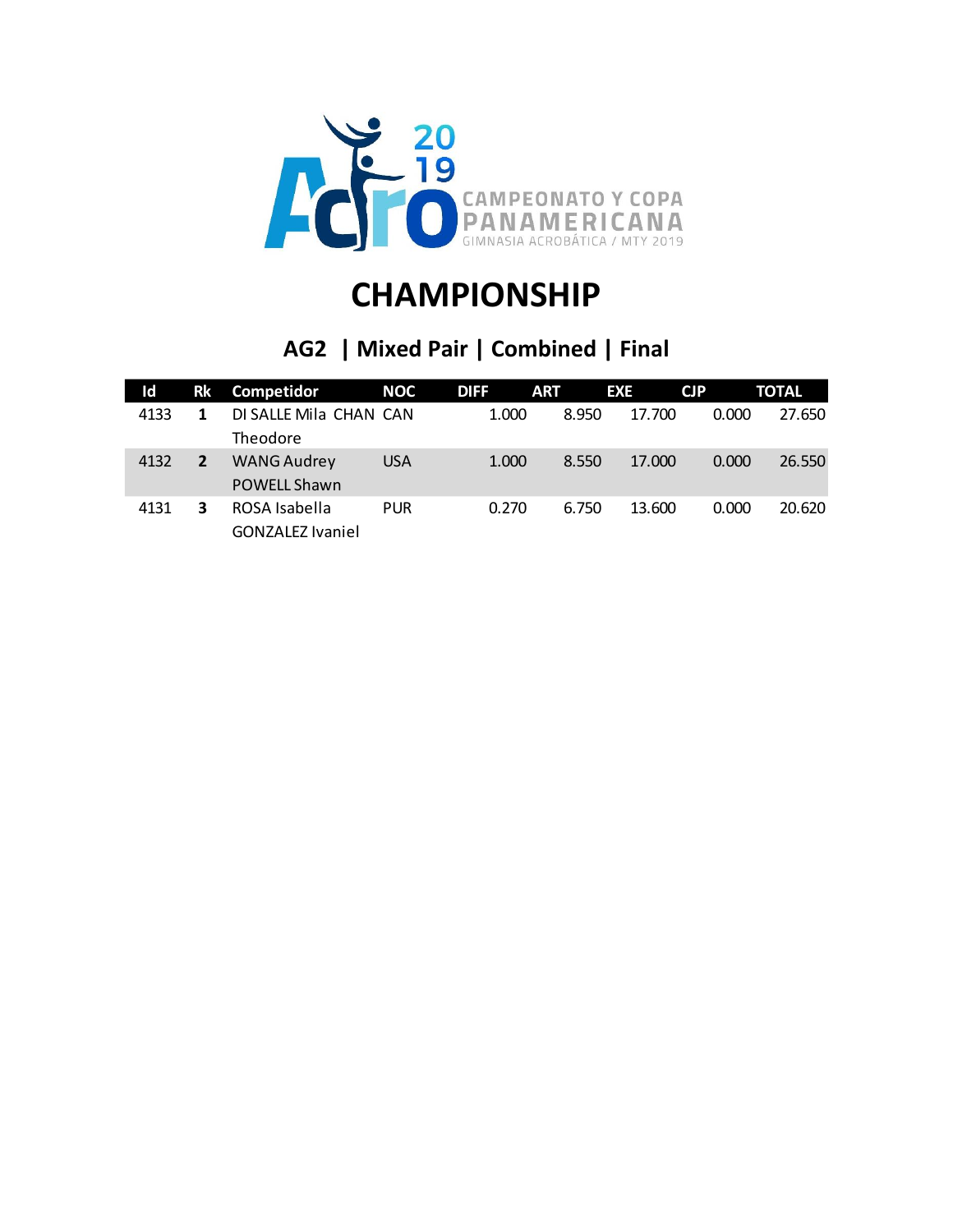

### **AG2 | Mixed Pair | Combined | Final**

| ld   | Rk | Competidor                                | <b>NOC</b> | <b>DIFF</b> | <b>ART</b> | <b>EXE</b> | CJP   | <b>TOTAL</b> |
|------|----|-------------------------------------------|------------|-------------|------------|------------|-------|--------------|
| 4133 |    | DI SALLE Mila CHAN CAN<br>Theodore        |            | 1.000       | 8.950      | 17.700     | 0.000 | 27.650       |
| 4132 |    | <b>WANG Audrey</b><br><b>POWELL Shawn</b> | <b>USA</b> | 1.000       | 8.550      | 17.000     | 0.000 | 26.550       |
| 4131 | 3  | ROSA Isabella<br><b>GONZALEZ Ivaniel</b>  | <b>PUR</b> | 0.270       | 6.750      | 13.600     | 0.000 | 20.620       |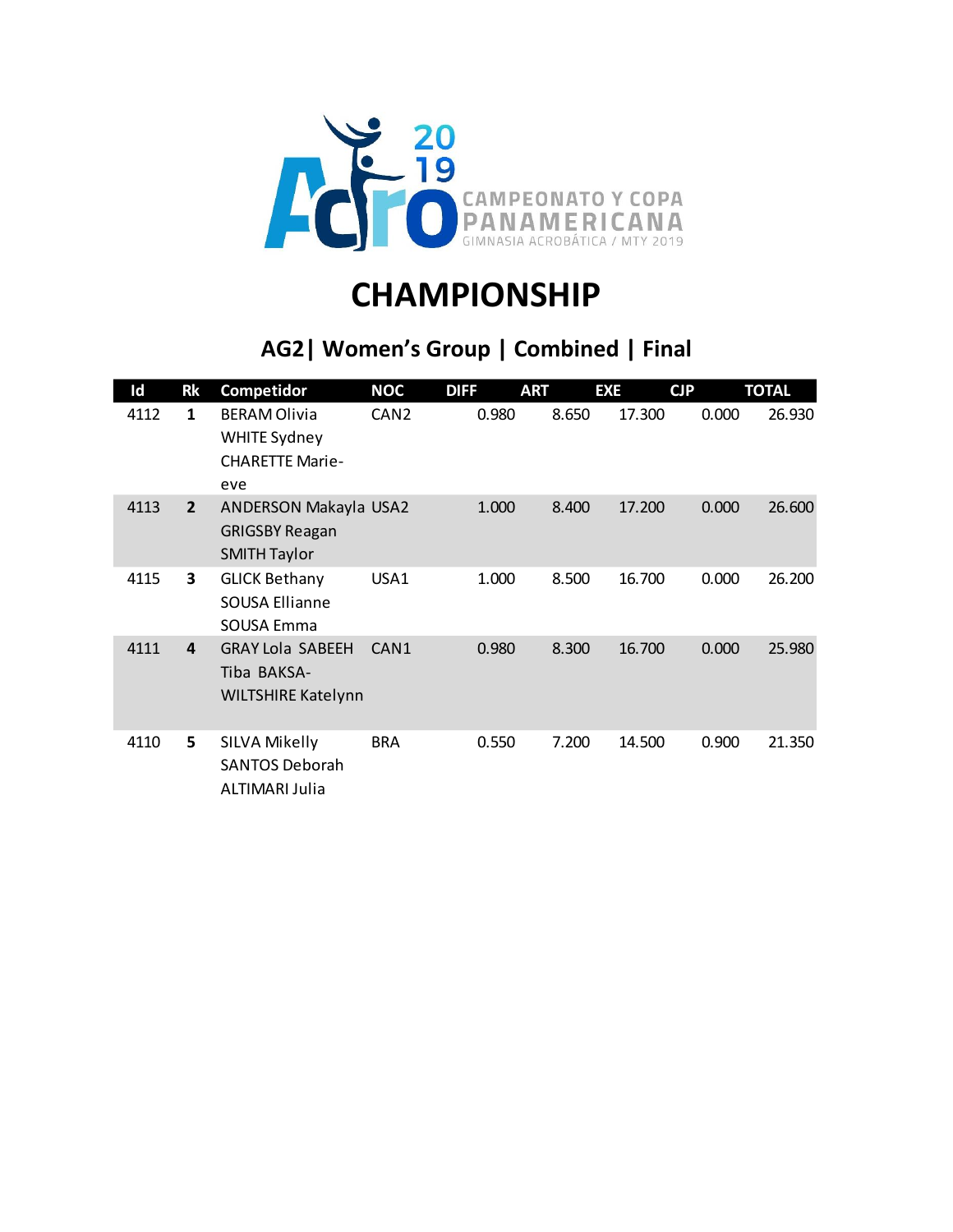

### **AG2| Women's Group | Combined | Final**

| Id   | <b>Rk</b>      | Competidor                                                                  | <b>NOC</b>       | <b>DIFF</b> | <b>ART</b> | <b>EXE</b> | CJP   | <b>TOTAL</b> |
|------|----------------|-----------------------------------------------------------------------------|------------------|-------------|------------|------------|-------|--------------|
| 4112 | 1              | <b>BERAM Olivia</b><br><b>WHITE Sydney</b><br><b>CHARETTE Marie-</b><br>eve | CAN <sub>2</sub> | 0.980       | 8.650      | 17.300     | 0.000 | 26.930       |
| 4113 | $\overline{2}$ | ANDERSON Makayla USA2<br><b>GRIGSBY Reagan</b><br><b>SMITH Taylor</b>       |                  | 1.000       | 8.400      | 17.200     | 0.000 | 26.600       |
| 4115 | 3              | <b>GLICK Bethany</b><br><b>SOUSA Ellianne</b><br>SOUSA Emma                 | USA1             | 1.000       | 8.500      | 16.700     | 0.000 | 26.200       |
| 4111 | 4              | <b>GRAY Lola SABEEH</b><br>Tiba BAKSA-<br><b>WILTSHIRE Katelynn</b>         | CAN <sub>1</sub> | 0.980       | 8.300      | 16.700     | 0.000 | 25.980       |
| 4110 | 5.             | SILVA Mikelly<br><b>SANTOS Deborah</b><br>ALTIMARI Julia                    | <b>BRA</b>       | 0.550       | 7.200      | 14.500     | 0.900 | 21.350       |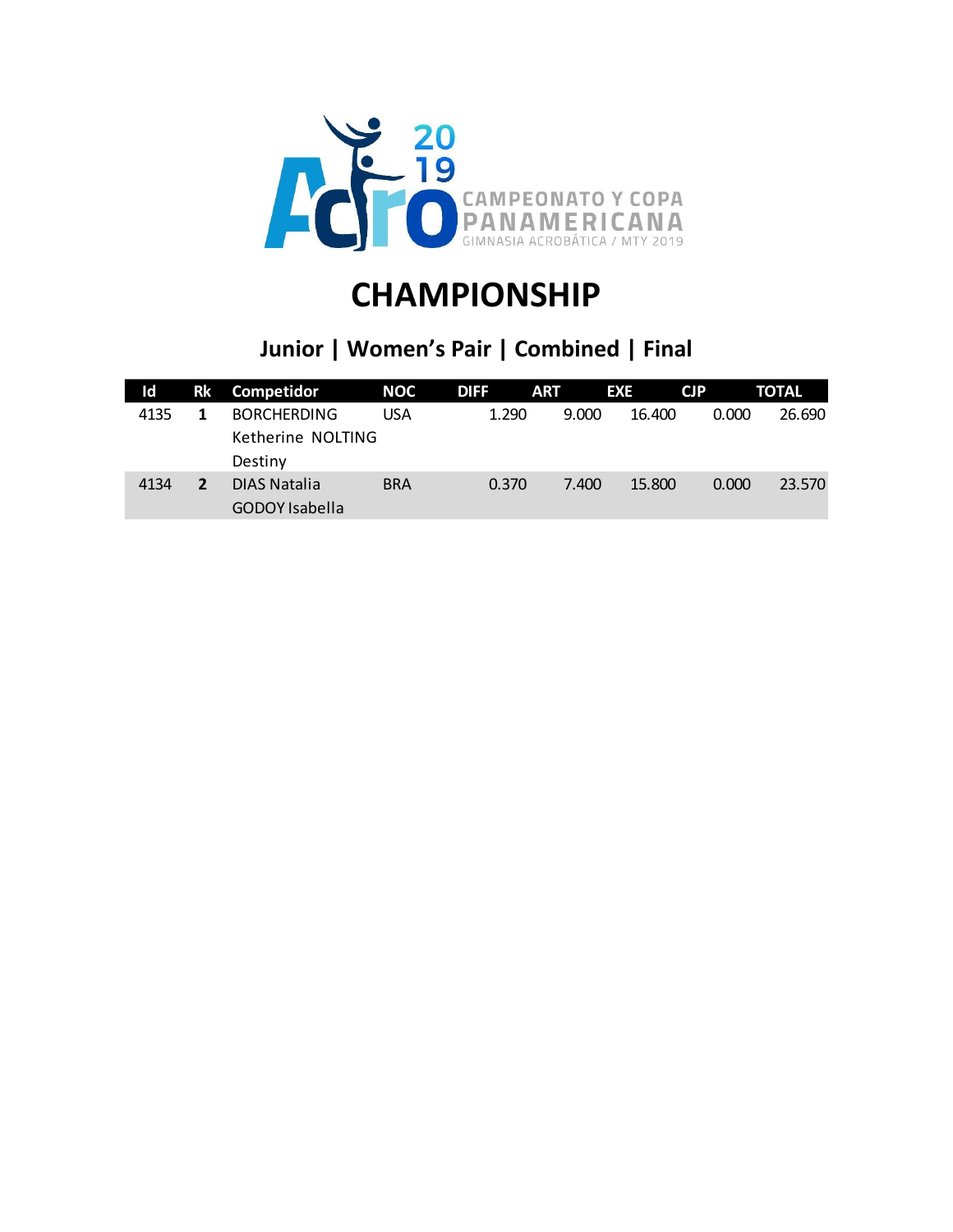

#### **Junior | Women's Pair | Combined | Final**

| Id   | Rk | Competidor                                         | <b>NOC</b> | <b>DIFF</b> | <b>ART</b> | <b>EXE</b> | <b>CJP</b> | <b>TOTAL</b> |
|------|----|----------------------------------------------------|------------|-------------|------------|------------|------------|--------------|
| 4135 |    | <b>BORCHERDING</b><br>Ketherine NOLTING<br>Destiny | USA        | 1.290       | 9.000      | 16.400     | 0.000      | 26.690       |
| 4134 | 2  | DIAS Natalia<br><b>GODOY Isabella</b>              | <b>BRA</b> | 0.370       | 7.400      | 15.800     | 0.000      | 23.570       |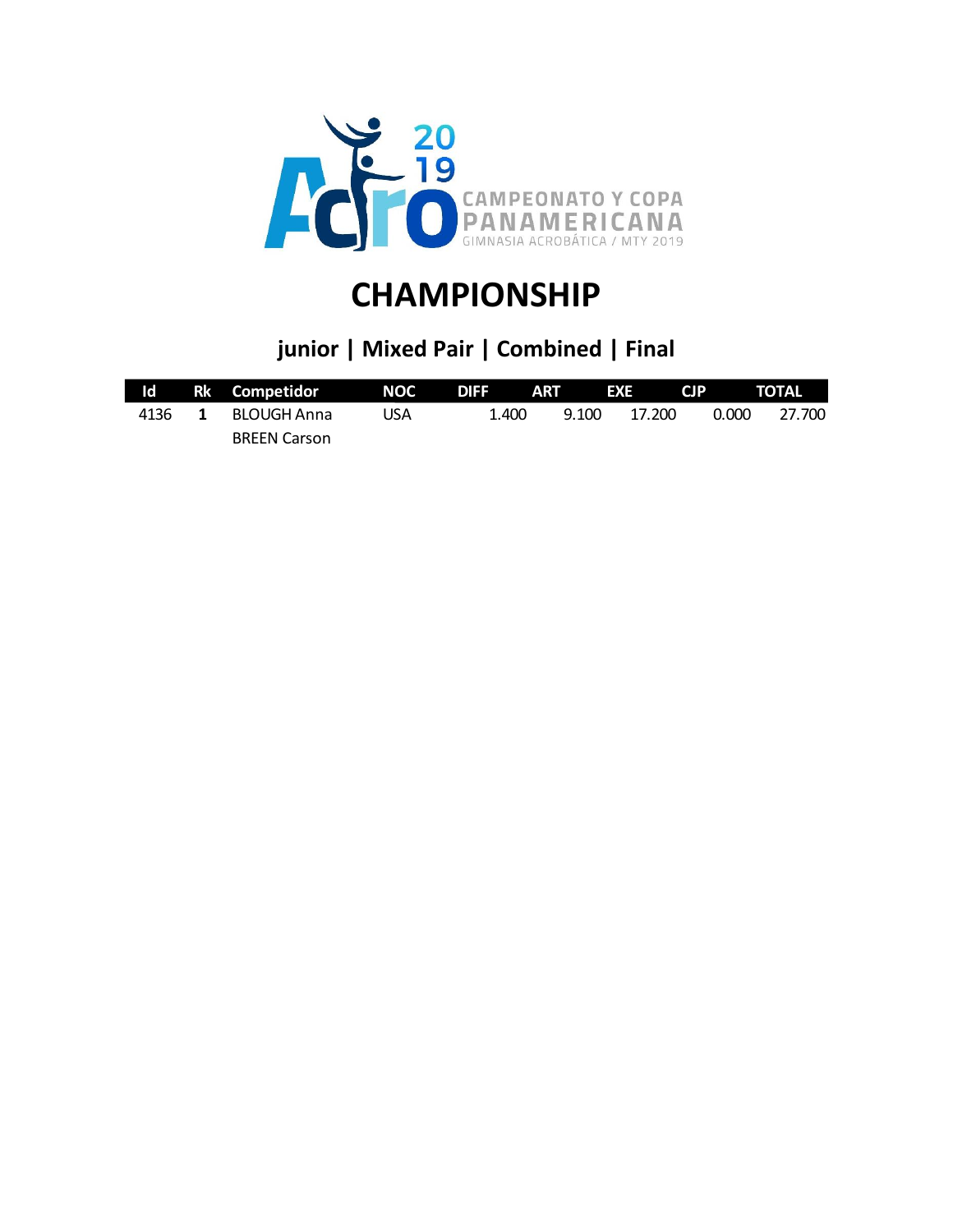

### **junior | Mixed Pair | Combined | Final**

| $\mathsf{Id}$ |              | Rk Competidor MOC DIFF ART |     |       |       | $\blacktriangle$ EXE | CJP TOTAL |        |
|---------------|--------------|----------------------------|-----|-------|-------|----------------------|-----------|--------|
| 4136          | $\mathbf{1}$ | BLOUGH Anna                | USA | 1.400 | 9.100 | 17.200               | 0.000     | 27.700 |
|               |              | <b>BREEN Carson</b>        |     |       |       |                      |           |        |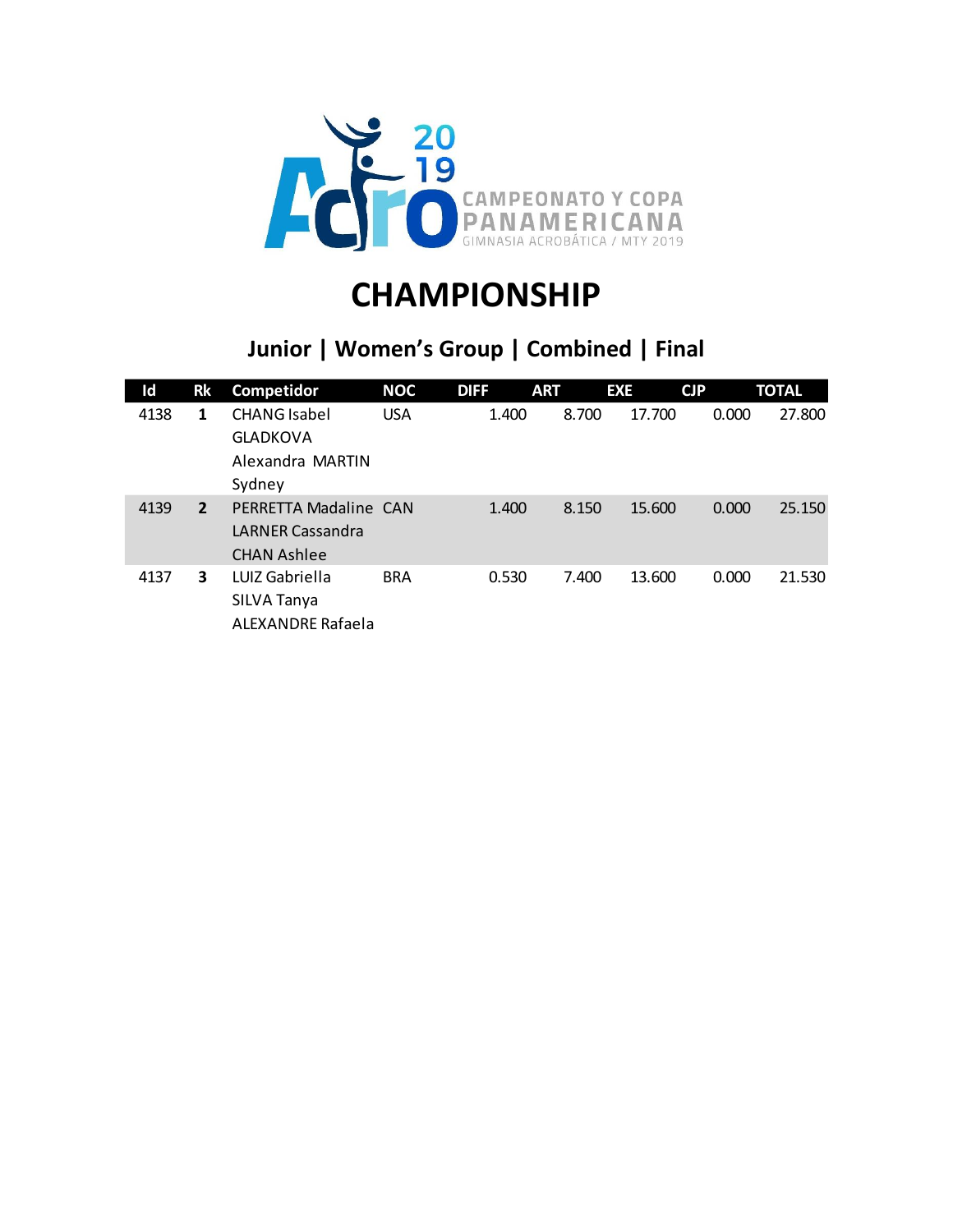

### **Junior | Women's Group | Combined | Final**

| Id   | Rk             | Competidor                                                             | <b>NOC</b> | <b>DIFF</b> | <b>ART</b> | <b>EXE</b> | CJP   | <b>TOTAL</b> |
|------|----------------|------------------------------------------------------------------------|------------|-------------|------------|------------|-------|--------------|
| 4138 | 1              | <b>CHANG</b> Isabel<br><b>GLADKOVA</b><br>Alexandra MARTIN<br>Sydney   | <b>USA</b> | 1.400       | 8.700      | 17.700     | 0.000 | 27.800       |
| 4139 | $\overline{2}$ | PERRETTA Madaline CAN<br><b>LARNER Cassandra</b><br><b>CHAN Ashlee</b> |            | 1.400       | 8.150      | 15.600     | 0.000 | 25.150       |
| 4137 | 3              | LUIZ Gabriella<br>SILVA Tanya<br><b>ALEXANDRE Rafaela</b>              | <b>BRA</b> | 0.530       | 7.400      | 13.600     | 0.000 | 21.530       |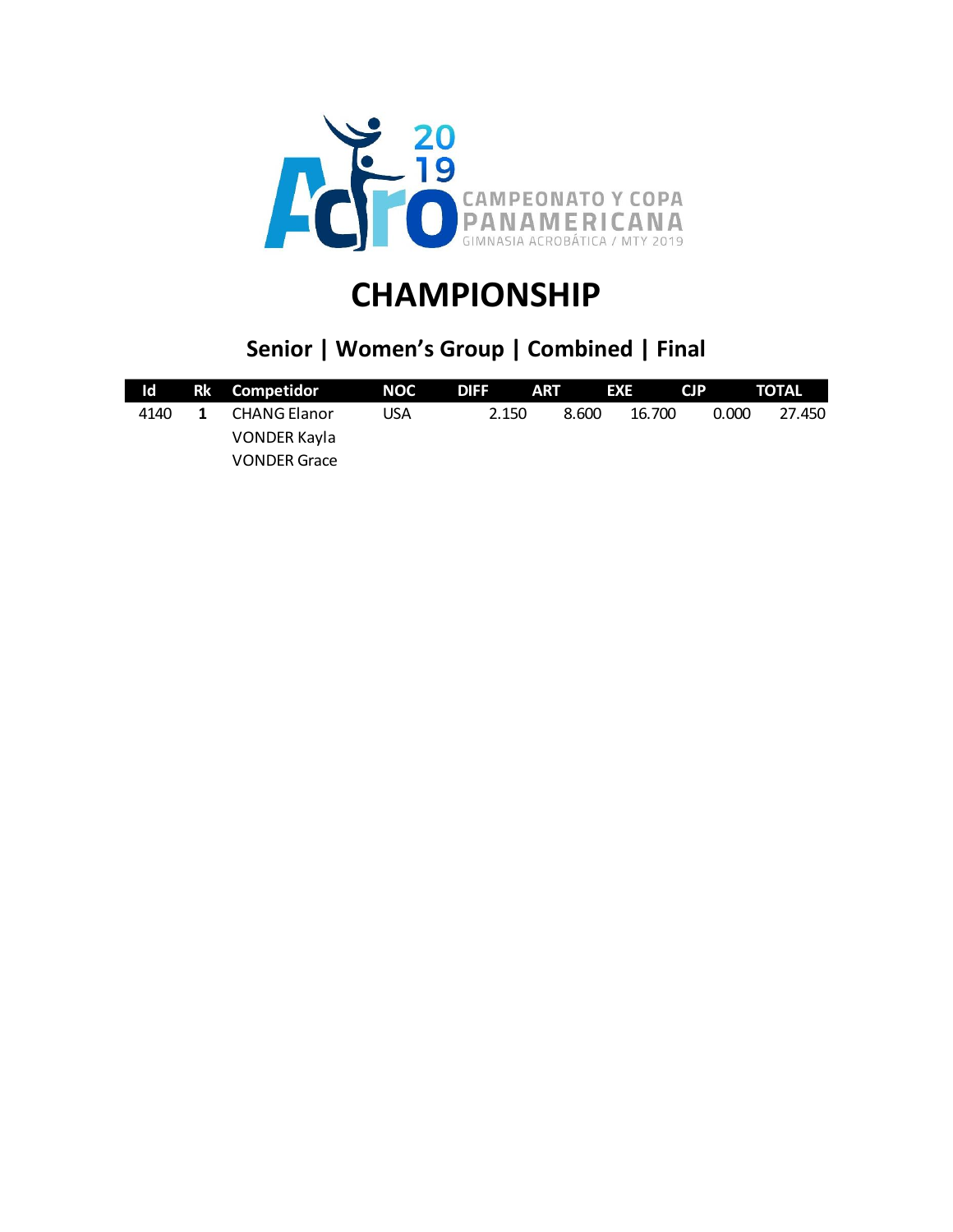

### **Senior | Women's Group | Combined | Final**

| Id.  |              | Rk Competidor       | NOC | <b>DIFF</b> | <b>ART</b> | EXE    | <b>CJP</b> | TOTAL  |
|------|--------------|---------------------|-----|-------------|------------|--------|------------|--------|
| 4140 | $\mathbf{1}$ | CHANG Elanor        | USA | 2.150       | 8.600      | 16.700 | 0.000      | 27.450 |
|      |              | VONDER Kayla        |     |             |            |        |            |        |
|      |              | <b>VONDER Grace</b> |     |             |            |        |            |        |